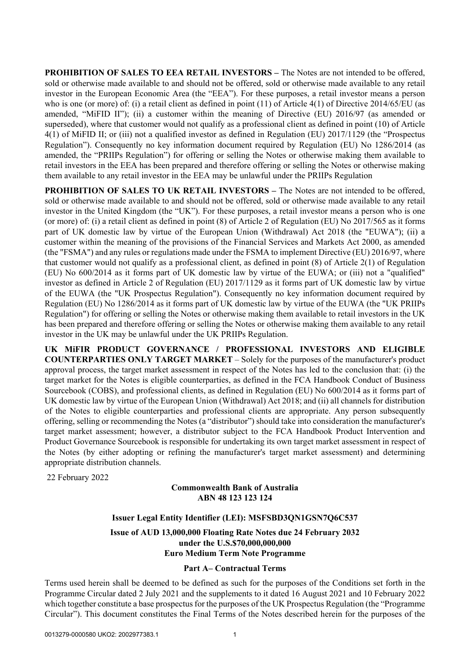**PROHIBITION OF SALES TO EEA RETAIL INVESTORS –** The Notes are not intended to be offered, sold or otherwise made available to and should not be offered, sold or otherwise made available to any retail investor in the European Economic Area (the "EEA"). For these purposes, a retail investor means a person who is one (or more) of: (i) a retail client as defined in point (11) of Article 4(1) of Directive 2014/65/EU (as amended, "MiFID II"); (ii) a customer within the meaning of Directive (EU) 2016/97 (as amended or superseded), where that customer would not qualify as a professional client as defined in point (10) of Article 4(1) of MiFID II; or (iii) not a qualified investor as defined in Regulation (EU) 2017/1129 (the "Prospectus Regulation"). Consequently no key information document required by Regulation (EU) No 1286/2014 (as amended, the "PRIIPs Regulation") for offering or selling the Notes or otherwise making them available to retail investors in the EEA has been prepared and therefore offering or selling the Notes or otherwise making them available to any retail investor in the EEA may be unlawful under the PRIIPs Regulation

**PROHIBITION OF SALES TO UK RETAIL INVESTORS –** The Notes are not intended to be offered, sold or otherwise made available to and should not be offered, sold or otherwise made available to any retail investor in the United Kingdom (the "UK"). For these purposes, a retail investor means a person who is one (or more) of: (i) a retail client as defined in point (8) of Article 2 of Regulation (EU) No 2017/565 as it forms part of UK domestic law by virtue of the European Union (Withdrawal) Act 2018 (the "EUWA"); (ii) a customer within the meaning of the provisions of the Financial Services and Markets Act 2000, as amended (the "FSMA") and any rules or regulations made under the FSMA to implement Directive (EU) 2016/97, where that customer would not qualify as a professional client, as defined in point (8) of Article 2(1) of Regulation (EU) No 600/2014 as it forms part of UK domestic law by virtue of the EUWA; or (iii) not a "qualified" investor as defined in Article 2 of Regulation (EU) 2017/1129 as it forms part of UK domestic law by virtue of the EUWA (the "UK Prospectus Regulation"). Consequently no key information document required by Regulation (EU) No 1286/2014 as it forms part of UK domestic law by virtue of the EUWA (the "UK PRIIPs Regulation") for offering or selling the Notes or otherwise making them available to retail investors in the UK has been prepared and therefore offering or selling the Notes or otherwise making them available to any retail investor in the UK may be unlawful under the UK PRIIPs Regulation.

**UK MiFIR PRODUCT GOVERNANCE / PROFESSIONAL INVESTORS AND ELIGIBLE COUNTERPARTIES ONLY TARGET MARKET** – Solely for the purposes of the manufacturer's product approval process, the target market assessment in respect of the Notes has led to the conclusion that: (i) the target market for the Notes is eligible counterparties, as defined in the FCA Handbook Conduct of Business Sourcebook (COBS), and professional clients, as defined in Regulation (EU) No 600/2014 as it forms part of UK domestic law by virtue of the European Union (Withdrawal) Act 2018; and (ii) all channels for distribution of the Notes to eligible counterparties and professional clients are appropriate. Any person subsequently offering, selling or recommending the Notes (a "distributor") should take into consideration the manufacturer's target market assessment; however, a distributor subject to the FCA Handbook Product Intervention and Product Governance Sourcebook is responsible for undertaking its own target market assessment in respect of the Notes (by either adopting or refining the manufacturer's target market assessment) and determining appropriate distribution channels.

22 February 2022

### **Commonwealth Bank of Australia ABN 48 123 123 124**

# **Issuer Legal Entity Identifier (LEI): MSFSBD3QN1GSN7Q6C537**

**Issue of AUD 13,000,000 Floating Rate Notes due 24 February 2032 under the U.S.\$70,000,000,000 Euro Medium Term Note Programme**

# **Part A– Contractual Terms**

Terms used herein shall be deemed to be defined as such for the purposes of the Conditions set forth in the Programme Circular dated 2 July 2021 and the supplements to it dated 16 August 2021 and 10 February 2022 which together constitute a base prospectus for the purposes of the UK Prospectus Regulation (the "Programme Circular"). This document constitutes the Final Terms of the Notes described herein for the purposes of the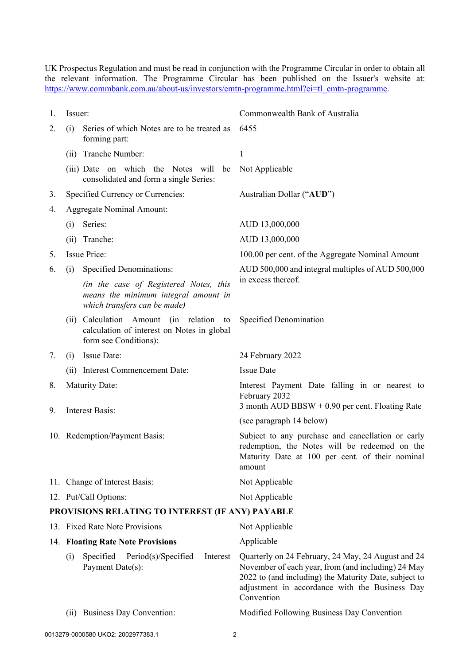UK Prospectus Regulation and must be read in conjunction with the Programme Circular in order to obtain all the relevant information. The Programme Circular has been published on the Issuer's website at: [https://www.commbank.com.au/about-us/investors/emtn-programme.html?ei=tl\\_emtn-programme.](https://www.commbank.com.au/about-us/investors/emtn-programme.html?ei=tl_emtn-programme)

| 1. | Issuer:                                                            |                                                                                                                | Commonwealth Bank of Australia                                                                                                                                  |  |  |  |  |  |
|----|--------------------------------------------------------------------|----------------------------------------------------------------------------------------------------------------|-----------------------------------------------------------------------------------------------------------------------------------------------------------------|--|--|--|--|--|
| 2. | Series of which Notes are to be treated as<br>(i)<br>forming part: |                                                                                                                | 6455                                                                                                                                                            |  |  |  |  |  |
|    | (i)                                                                | Tranche Number:                                                                                                | 1                                                                                                                                                               |  |  |  |  |  |
|    |                                                                    | (iii) Date on which the Notes will<br>be<br>consolidated and form a single Series:                             | Not Applicable                                                                                                                                                  |  |  |  |  |  |
| 3. |                                                                    | Specified Currency or Currencies:                                                                              | Australian Dollar ("AUD")                                                                                                                                       |  |  |  |  |  |
| 4. |                                                                    | <b>Aggregate Nominal Amount:</b>                                                                               |                                                                                                                                                                 |  |  |  |  |  |
|    | (i)                                                                | Series:                                                                                                        | AUD 13,000,000                                                                                                                                                  |  |  |  |  |  |
|    | (ii)                                                               | Tranche:                                                                                                       | AUD 13,000,000                                                                                                                                                  |  |  |  |  |  |
| 5. |                                                                    | <b>Issue Price:</b>                                                                                            | 100.00 per cent. of the Aggregate Nominal Amount                                                                                                                |  |  |  |  |  |
| 6. | (i)                                                                | Specified Denominations:                                                                                       | AUD 500,000 and integral multiples of AUD 500,000                                                                                                               |  |  |  |  |  |
|    |                                                                    | (in the case of Registered Notes, this<br>means the minimum integral amount in<br>which transfers can be made) | in excess thereof.                                                                                                                                              |  |  |  |  |  |
|    | (11)                                                               | Calculation Amount (in relation<br>to<br>calculation of interest on Notes in global<br>form see Conditions):   | Specified Denomination                                                                                                                                          |  |  |  |  |  |
| 7. | (i)                                                                | <b>Issue Date:</b>                                                                                             | 24 February 2022                                                                                                                                                |  |  |  |  |  |
|    |                                                                    | (ii) Interest Commencement Date:                                                                               | <b>Issue Date</b>                                                                                                                                               |  |  |  |  |  |
| 8. |                                                                    | <b>Maturity Date:</b>                                                                                          | Interest Payment Date falling in or nearest to                                                                                                                  |  |  |  |  |  |
|    | <b>Interest Basis:</b>                                             |                                                                                                                | February 2032<br>3 month AUD BBSW $+0.90$ per cent. Floating Rate                                                                                               |  |  |  |  |  |
| 9. |                                                                    |                                                                                                                | (see paragraph 14 below)                                                                                                                                        |  |  |  |  |  |
|    |                                                                    | 10. Redemption/Payment Basis:                                                                                  | Subject to any purchase and cancellation or early<br>redemption, the Notes will be redeemed on the<br>Maturity Date at 100 per cent. of their nominal<br>amount |  |  |  |  |  |
|    |                                                                    | 11. Change of Interest Basis:                                                                                  | Not Applicable                                                                                                                                                  |  |  |  |  |  |
|    |                                                                    | 12. Put/Call Options:                                                                                          | Not Applicable                                                                                                                                                  |  |  |  |  |  |
|    |                                                                    | PROVISIONS RELATING TO INTEREST (IF ANY) PAYABLE                                                               |                                                                                                                                                                 |  |  |  |  |  |
|    |                                                                    | 13. Fixed Rate Note Provisions                                                                                 | Not Applicable                                                                                                                                                  |  |  |  |  |  |
|    |                                                                    | 14. Floating Rate Note Provisions                                                                              | Applicable                                                                                                                                                      |  |  |  |  |  |

- <span id="page-1-0"></span>(i) Specified Period(s)/Specified Interest Quarterly on 24 February, 24 May, 24 August and 24 November of each year, from (and including) 24 May 2022 to (and including) the Maturity Date, subject to adjustment in accordance with the Business Day Convention
- 

Payment Date(s):

(ii) Business Day Convention: Modified Following Business Day Convention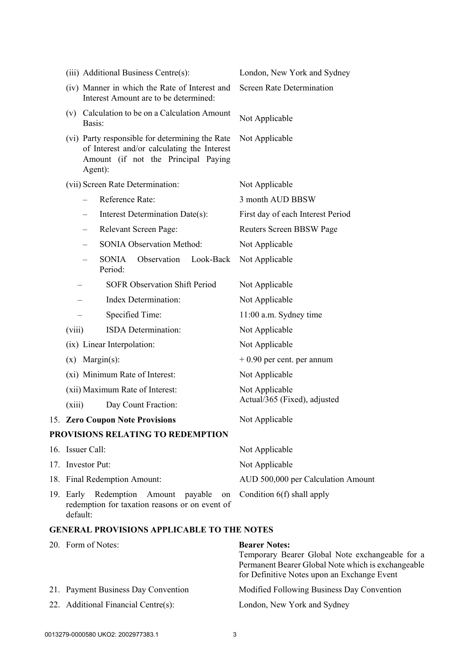| (iii) Additional Business Centre(s):                                                                                                             | London, New York and Sydney        |  |  |  |  |  |
|--------------------------------------------------------------------------------------------------------------------------------------------------|------------------------------------|--|--|--|--|--|
| (iv) Manner in which the Rate of Interest and<br>Interest Amount are to be determined:                                                           | <b>Screen Rate Determination</b>   |  |  |  |  |  |
| (v) Calculation to be on a Calculation Amount<br>Basis:                                                                                          | Not Applicable                     |  |  |  |  |  |
| (vi) Party responsible for determining the Rate<br>of Interest and/or calculating the Interest<br>Amount (if not the Principal Paying<br>Agent): | Not Applicable                     |  |  |  |  |  |
| (vii) Screen Rate Determination:                                                                                                                 | Not Applicable                     |  |  |  |  |  |
| Reference Rate:                                                                                                                                  | 3 month AUD BBSW                   |  |  |  |  |  |
| Interest Determination Date(s):                                                                                                                  | First day of each Interest Period  |  |  |  |  |  |
| Relevant Screen Page:                                                                                                                            | Reuters Screen BBSW Page           |  |  |  |  |  |
| <b>SONIA Observation Method:</b>                                                                                                                 | Not Applicable                     |  |  |  |  |  |
| SONIA<br>Observation<br>Look-Back<br>$\overline{\phantom{0}}$<br>Period:                                                                         | Not Applicable                     |  |  |  |  |  |
| <b>SOFR Observation Shift Period</b>                                                                                                             | Not Applicable                     |  |  |  |  |  |
| Index Determination:                                                                                                                             | Not Applicable                     |  |  |  |  |  |
| Specified Time:                                                                                                                                  | 11:00 a.m. Sydney time             |  |  |  |  |  |
| ISDA Determination:<br>(viii)                                                                                                                    | Not Applicable                     |  |  |  |  |  |
| (ix) Linear Interpolation:                                                                                                                       | Not Applicable                     |  |  |  |  |  |
| $(x)$ Margin(s):                                                                                                                                 | $+0.90$ per cent. per annum        |  |  |  |  |  |
| (xi) Minimum Rate of Interest:                                                                                                                   | Not Applicable                     |  |  |  |  |  |
| (xii) Maximum Rate of Interest:                                                                                                                  | Not Applicable                     |  |  |  |  |  |
| Day Count Fraction:<br>(xiii)                                                                                                                    | Actual/365 (Fixed), adjusted       |  |  |  |  |  |
| 15. Zero Coupon Note Provisions                                                                                                                  | Not Applicable                     |  |  |  |  |  |
| PROVISIONS RELATING TO REDEMPTION                                                                                                                |                                    |  |  |  |  |  |
| 16. Issuer Call:                                                                                                                                 | Not Applicable                     |  |  |  |  |  |
| 17. Investor Put:                                                                                                                                | Not Applicable                     |  |  |  |  |  |
| 18. Final Redemption Amount:                                                                                                                     | AUD 500,000 per Calculation Amount |  |  |  |  |  |
| 19. Early Redemption<br>Amount payable<br>on<br>redemption for taxation reasons or on event of<br>default:                                       | Condition 6(f) shall apply         |  |  |  |  |  |
| <b>GENERAL PROVISIONS APPLICABLE TO THE NOTES</b>                                                                                                |                                    |  |  |  |  |  |
| 20. Form of Notes:                                                                                                                               | <b>Bearer Notes:</b>               |  |  |  |  |  |

|  |                                     | Temporary Bearer Global Note exchangeable for a    |  |  |  |  |  |
|--|-------------------------------------|----------------------------------------------------|--|--|--|--|--|
|  |                                     | Permanent Bearer Global Note which is exchangeable |  |  |  |  |  |
|  |                                     | for Definitive Notes upon an Exchange Event        |  |  |  |  |  |
|  | 21. Payment Business Day Convention | Modified Following Business Day Convention         |  |  |  |  |  |
|  | 22. Additional Financial Centre(s): | London, New York and Sydney                        |  |  |  |  |  |
|  |                                     |                                                    |  |  |  |  |  |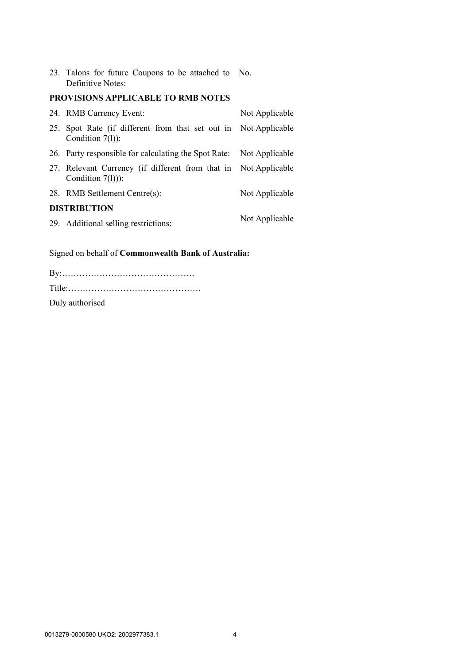23. Talons for future Coupons to be attached to No. Definitive Notes:

# **PROVISIONS APPLICABLE TO RMB NOTES**

| 24. RMB Currency Event:                                                                | Not Applicable |
|----------------------------------------------------------------------------------------|----------------|
| 25. Spot Rate (if different from that set out in Not Applicable<br>Condition 7(1)):    |                |
| 26. Party responsible for calculating the Spot Rate: Not Applicable                    |                |
| 27. Relevant Currency (if different from that in Not Applicable<br>Condition $7(1))$ : |                |
| 28. RMB Settlement Centre(s):                                                          | Not Applicable |
| <b>DISTRIBUTION</b>                                                                    |                |
| 29. Additional selling restrictions:                                                   | Not Applicable |

Signed on behalf of **Commonwealth Bank of Australia:**

| Duly authorised |  |  |  |  |  |  |  |  |  |
|-----------------|--|--|--|--|--|--|--|--|--|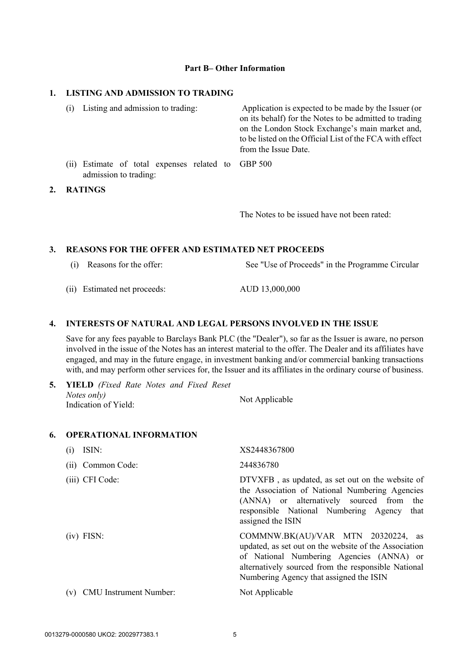#### **Part B– Other Information**

### **1. LISTING AND ADMISSION TO TRADING**

| (1) | Listing and admission to trading:                                           | Application is expected to be made by the Issuer (or<br>on its behalf) for the Notes to be admitted to trading<br>on the London Stock Exchange's main market and,<br>to be listed on the Official List of the FCA with effect<br>from the Issue Date. |
|-----|-----------------------------------------------------------------------------|-------------------------------------------------------------------------------------------------------------------------------------------------------------------------------------------------------------------------------------------------------|
|     | (ii) Estimate of total expenses related to GBP 500<br>admission to trading: |                                                                                                                                                                                                                                                       |
|     | <b>RATINGS</b>                                                              |                                                                                                                                                                                                                                                       |

The Notes to be issued have not been rated:

#### **3. REASONS FOR THE OFFER AND ESTIMATED NET PROCEEDS**

- (i) Reasons for the offer: See "Use of Proceeds" in the Programme Circular
- (ii) Estimated net proceeds: AUD 13,000,000

 $2.$ 

### **4. INTERESTS OF NATURAL AND LEGAL PERSONS INVOLVED IN THE ISSUE**

Save for any fees payable to Barclays Bank PLC (the "Dealer"), so far as the Issuer is aware, no person involved in the issue of the Notes has an interest material to the offer. The Dealer and its affiliates have engaged, and may in the future engage, in investment banking and/or commercial banking transactions with, and may perform other services for, the Issuer and its affiliates in the ordinary course of business.

| <b>5.</b> YIELD (Fixed Rate Notes and Fixed Reset |                |
|---------------------------------------------------|----------------|
| Notes only)                                       | Not Applicable |
| Indication of Yield:                              |                |

### **6. OPERATIONAL INFORMATION**

| ISIN:<br>(1)                         | XS2448367800                                                                                                                                                                                                                              |
|--------------------------------------|-------------------------------------------------------------------------------------------------------------------------------------------------------------------------------------------------------------------------------------------|
| Common Code:<br>(11)                 | 244836780                                                                                                                                                                                                                                 |
| (iii) CFI Code:                      | DTVXFB, as updated, as set out on the website of<br>the Association of National Numbering Agencies<br>(ANNA) or alternatively sourced from the<br>responsible National Numbering Agency<br>that<br>assigned the ISIN                      |
| $(iv)$ FISN:                         | COMMNW.BK(AU)/VAR MTN 20320224, as<br>updated, as set out on the website of the Association<br>of National Numbering Agencies (ANNA) or<br>alternatively sourced from the responsible National<br>Numbering Agency that assigned the ISIN |
| <b>CMU</b> Instrument Number:<br>(V) | Not Applicable                                                                                                                                                                                                                            |